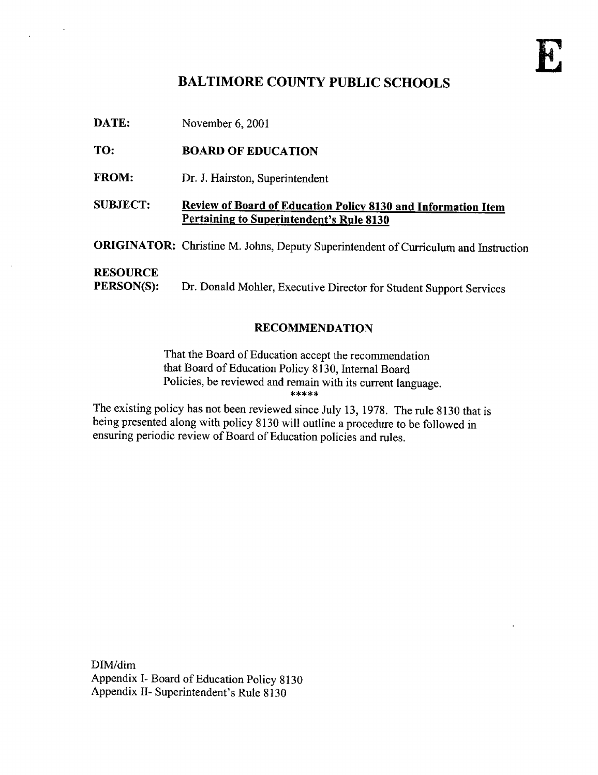# BALTIMORE COUNTY PUBLIC SCHOOLS

DATE: November 6, 2001

# TO: BOARD OF EDUCATION

- FROM: Dr. J. Hairston, Superintendent
- SUBJECT: Review of Board of Education Policy 8130 and Information Item Pertaining to Superintendent's Rule <sup>8130</sup>

ORIGINATOR: Christine M. Johns, Deputy Superintendent of Curriculum and Instruction

# **RESOURCE**<br>PERSON(S):

Dr. Donald Mohler, Executive Director for Student Support Services

#### RECOMMENDATION

That the Board of Education accept the recommendation that Board of Education Policy 8130, Internal Board Policies, be reviewed and remain with its current language.

The existing policy has not been reviewed since July 13, 1978. The rule 8130 that is being presented along with policy 8130 will outline <sup>a</sup> procedure to be followed in ensuring periodic review of Board of Education policies and rules .

DIM/dim Appendix I- Board of Education Policy 8130 Appendix II- Superintendent's Rule 8130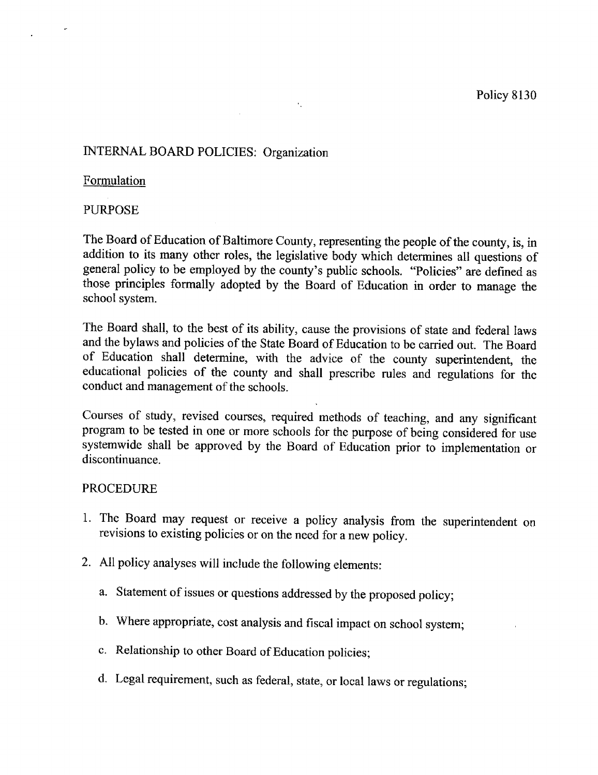# INTERNAL BOARD POLICIES: Organization

#### Formulation

#### PURPOSE

The Board of Education of Baltimore County, representing the people of the county, is, in addition to its many other roles, the legislative body which determines all questions of general policy to be employed by the county's public schools. "Policies" are defined as those principles formally adopted by the Board of Education in order to manage the school system.

 $\epsilon_{\rm{in}}$ 

The Board shall, to the best of its ability, cause the provisions of state and federal laws and the bylaws and policies of the State Board of Education to be carried out. The Board of Education shall determine, with the advice of the county superintendent, the educational policies of the county and shall prescribe rules and regulations for the conduct and management of the schools .

Courses of study, revised courses, required methods of teaching, and any significant program to be tested in one or more schools for the purpose of being considered for use systemwide shall be approved by the Board of Education prior to implementation or discontinuance.

#### PROCEDURE

- 1. The Board may request or receive a policy analysis from the superintendent on revisions to existing policies or on the need for a new policy .
- 2. All policy analyses will include the following elements :
	- a. Statement of issues or questions addressed by the proposed policy;
	- b. Where appropriate, cost analysis and fiscal impact on school system;
	- c. Relationship to other Board of Education policies;
	- d. Legal requirement, such as federal, state, or local laws or regulations;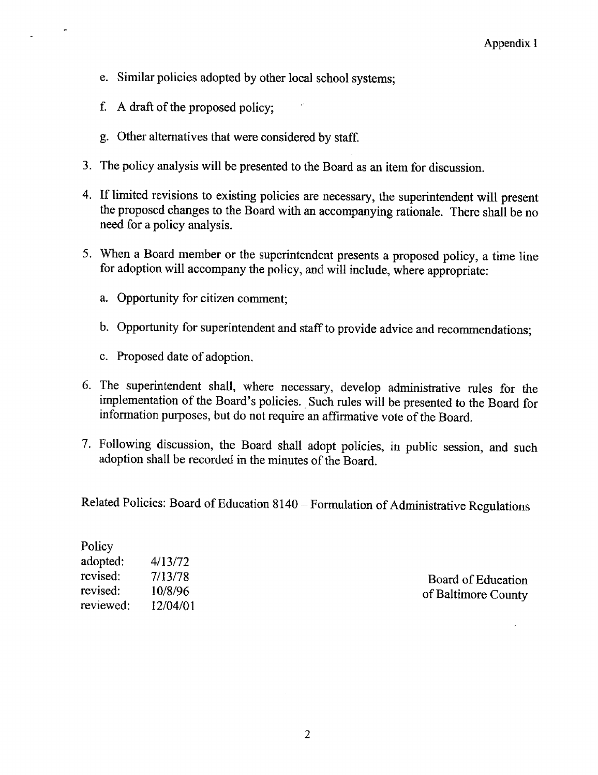- e. Similar policies adopted by other local school systems ;
- f. A draft of the proposed policy;
- g. Other alternatives that were considered by staff.
- 3 . The policy analysis will be presented to the Board as an item for discussion .
- 4. If limited revisions to existing policies are necessary, the superintendent will present the proposed changes to the Board with an accompanying rationale. There shall be no need for a policy analysis .
- <sup>5</sup> . When <sup>a</sup> Board member or the superintendent presents <sup>a</sup> proposed policy, a time line for adoption will accompany the policy, and will include, where appropriate:
	- a. Opportunity for citizen comment;
	- b. Opportunity for superintendent and staff to provide advice and recommendations;
	- c. Proposed date of adoption.
- 6. The superintendent shall, where necessary, develop administrative rules for the implementation of the Board's policies . Such rules will be presented to the Board for information purposes, but do not require an affirmative vote of the Board.
- 7. Following discussion, the Board shall adopt policies, in public session, and such adoption shall be recorded in the minutes of the Board.

Related Policies: Board of Education 8140 - Formulation of Administrative Regulations

| Policy    |          |
|-----------|----------|
| adopted:  | 4/13/72  |
| revised:  | 7/13/78  |
| revised:  | 10/8/96  |
| reviewed: | 12/04/01 |
|           |          |

Board of Education of Baltimore County